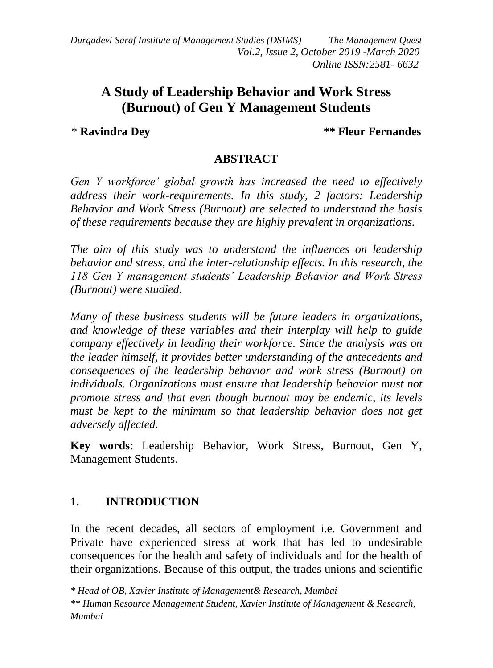*Durgadevi Saraf Institute of Management Studies (DSIMS) The Management Quest Vol.2, Issue 2, October 2019 -March 2020 Online ISSN:2581- 6632*

# **A Study of Leadership Behavior and Work Stress (Burnout) of Gen Y Management Students**

\* **Ravindra Dey \*\* Fleur Fernandes**

### **ABSTRACT**

*Gen Y workforce' global growth has increased the need to effectively address their work-requirements. In this study, 2 factors: Leadership Behavior and Work Stress (Burnout) are selected to understand the basis of these requirements because they are highly prevalent in organizations.*

*The aim of this study was to understand the influences on leadership behavior and stress, and the inter-relationship effects. In this research, the 118 Gen Y management students' Leadership Behavior and Work Stress (Burnout) were studied.*

*Many of these business students will be future leaders in organizations, and knowledge of these variables and their interplay will help to guide company effectively in leading their workforce. Since the analysis was on the leader himself, it provides better understanding of the antecedents and consequences of the leadership behavior and work stress (Burnout) on individuals. Organizations must ensure that leadership behavior must not promote stress and that even though burnout may be endemic, its levels must be kept to the minimum so that leadership behavior does not get adversely affected.*

**Key words**: Leadership Behavior, Work Stress, Burnout, Gen Y, Management Students.

## **1. INTRODUCTION**

In the recent decades, all sectors of employment i.e. Government and Private have experienced stress at work that has led to undesirable consequences for the health and safety of individuals and for the health of their organizations. Because of this output, the trades unions and scientific

*\* Head of OB, Xavier Institute of Management& Research, Mumbai*

*\*\* Human Resource Management Student, Xavier Institute of Management & Research, Mumbai*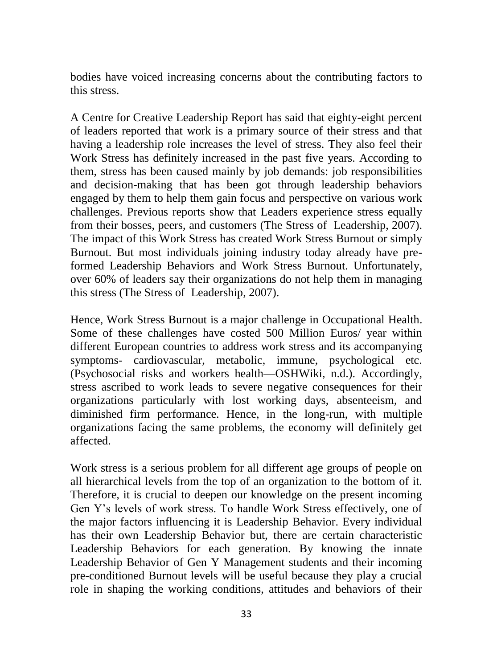bodies have voiced increasing concerns about the contributing factors to this stress.

A Centre for Creative Leadership Report has said that eighty-eight percent of leaders reported that work is a primary source of their stress and that having a leadership role increases the level of stress. They also feel their Work Stress has definitely increased in the past five years. According to them, stress has been caused mainly by job demands: job responsibilities and decision-making that has been got through leadership behaviors engaged by them to help them gain focus and perspective on various work challenges. Previous reports show that Leaders experience stress equally from their bosses, peers, and customers (The Stress of Leadership, 2007). The impact of this Work Stress has created Work Stress Burnout or simply Burnout. But most individuals joining industry today already have preformed Leadership Behaviors and Work Stress Burnout. Unfortunately, over 60% of leaders say their organizations do not help them in managing this stress (The Stress of Leadership, 2007).

Hence, Work Stress Burnout is a major challenge in Occupational Health. Some of these challenges have costed 500 Million Euros/ year within different European countries to address work stress and its accompanying symptoms- cardiovascular, metabolic, immune, psychological etc. (Psychosocial risks and workers health—OSHWiki, n.d.). Accordingly, stress ascribed to work leads to severe negative consequences for their organizations particularly with lost working days, absenteeism, and diminished firm performance. Hence, in the long-run, with multiple organizations facing the same problems, the economy will definitely get affected.

Work stress is a serious problem for all different age groups of people on all hierarchical levels from the top of an organization to the bottom of it. Therefore, it is crucial to deepen our knowledge on the present incoming Gen Y's levels of work stress. To handle Work Stress effectively, one of the major factors influencing it is Leadership Behavior. Every individual has their own Leadership Behavior but, there are certain characteristic Leadership Behaviors for each generation. By knowing the innate Leadership Behavior of Gen Y Management students and their incoming pre-conditioned Burnout levels will be useful because they play a crucial role in shaping the working conditions, attitudes and behaviors of their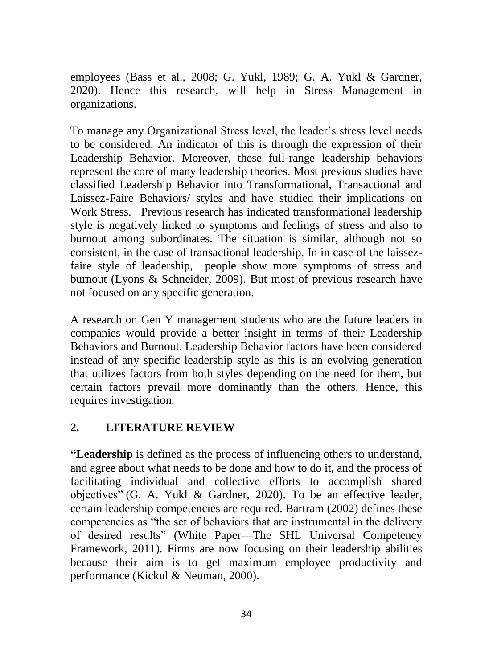employees (Bass et al., 2008; G. Yukl, 1989; G. A. Yukl & Gardner, 2020). Hence this research, will help in Stress Management in organizations.

To manage any Organizational Stress level, the leader's stress level needs to be considered. An indicator of this is through the expression of their Leadership Behavior. Moreover, these full-range leadership behaviors represent the core of many leadership theories. Most previous studies have classified Leadership Behavior into Transformational, Transactional and Laissez-Faire Behaviors/ styles and have studied their implications on Work Stress. Previous research has indicated transformational leadership style is negatively linked to symptoms and feelings of stress and also to burnout among subordinates. The situation is similar, although not so consistent, in the case of transactional leadership. In in case of the laissezfaire style of leadership, people show more symptoms of stress and burnout (Lyons & Schneider, 2009). But most of previous research have not focused on any specific generation.

A research on Gen Y management students who are the future leaders in companies would provide a better insight in terms of their Leadership Behaviors and Burnout. Leadership Behavior factors have been considered instead of any specific leadership style as this is an evolving generation that utilizes factors from both styles depending on the need for them, but certain factors prevail more dominantly than the others. Hence, this requires investigation.

## **2. LITERATURE REVIEW**

**"Leadership** is defined as the process of influencing others to understand, and agree about what needs to be done and how to do it, and the process of facilitating individual and collective efforts to accomplish shared objectives" (G. A. Yukl & Gardner, 2020). To be an effective leader, certain leadership competencies are required. Bartram (2002) defines these competencies as "the set of behaviors that are instrumental in the delivery of desired results" (White Paper—The SHL Universal Competency Framework, 2011). Firms are now focusing on their leadership abilities because their aim is to get maximum employee productivity and performance (Kickul & Neuman, 2000).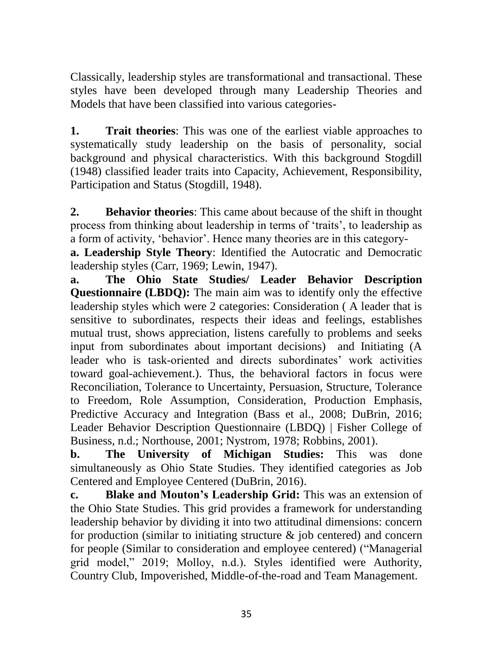Classically, leadership styles are transformational and transactional. These styles have been developed through many Leadership Theories and Models that have been classified into various categories-

**1. Trait theories**: This was one of the earliest viable approaches to systematically study leadership on the basis of personality, social background and physical characteristics. With this background Stogdill (1948) classified leader traits into Capacity, Achievement, Responsibility, Participation and Status (Stogdill, 1948).

**2. Behavior theories**: This came about because of the shift in thought process from thinking about leadership in terms of 'traits', to leadership as a form of activity, 'behavior'. Hence many theories are in this category-

**a. Leadership Style Theory**: Identified the Autocratic and Democratic leadership styles (Carr, 1969; Lewin, 1947).

**a. The Ohio State Studies/ Leader Behavior Description Questionnaire (LBDQ):** The main aim was to identify only the effective leadership styles which were 2 categories: Consideration ( A leader that is sensitive to subordinates, respects their ideas and feelings, establishes mutual trust, shows appreciation, listens carefully to problems and seeks input from subordinates about important decisions) and Initiating (A leader who is task-oriented and directs subordinates' work activities toward goal-achievement.). Thus, the behavioral factors in focus were Reconciliation, Tolerance to Uncertainty, Persuasion, Structure, Tolerance to Freedom, Role Assumption, Consideration, Production Emphasis, Predictive Accuracy and Integration (Bass et al., 2008; DuBrin, 2016; Leader Behavior Description Questionnaire (LBDQ) | Fisher College of Business, n.d.; Northouse, 2001; Nystrom, 1978; Robbins, 2001).

**b. The University of Michigan Studies:** This was done simultaneously as Ohio State Studies. They identified categories as Job Centered and Employee Centered (DuBrin, 2016).

**c. Blake and Mouton's Leadership Grid:** This was an extension of the Ohio State Studies. This grid provides a framework for understanding leadership behavior by dividing it into two attitudinal dimensions: concern for production (similar to initiating structure  $\&$  job centered) and concern for people (Similar to consideration and employee centered) ("Managerial grid model," 2019; Molloy, n.d.). Styles identified were Authority, Country Club, Impoverished, Middle-of-the-road and Team Management.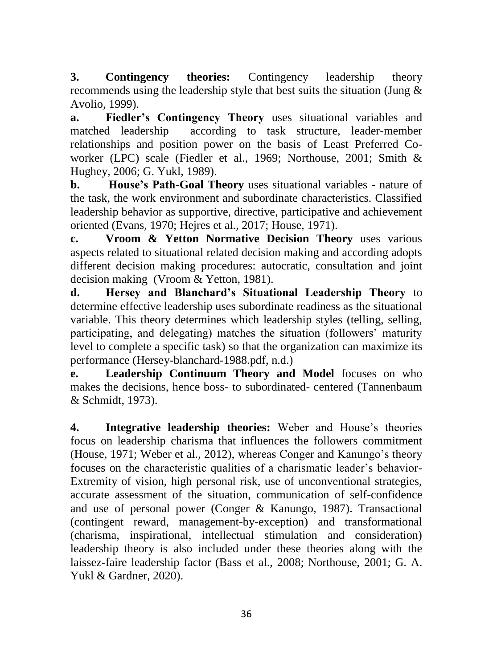**3. Contingency theories:** Contingency leadership theory recommends using the leadership style that best suits the situation (Jung & Avolio, 1999).

**a. Fiedler's Contingency Theory** uses situational variables and matched leadership according to task structure, leader-member relationships and position power on the basis of Least Preferred Coworker (LPC) scale (Fiedler et al., 1969; Northouse, 2001; Smith & Hughey, 2006; G. Yukl, 1989).

**b. House's Path-Goal Theory** uses situational variables - nature of the task, the work environment and subordinate characteristics. Classified leadership behavior as supportive, directive, participative and achievement oriented (Evans, 1970; Hejres et al., 2017; House, 1971).

**c. Vroom & Yetton Normative Decision Theory** uses various aspects related to situational related decision making and according adopts different decision making procedures: autocratic, consultation and joint decision making (Vroom & Yetton, 1981).

**d. Hersey and Blanchard's Situational Leadership Theory** to determine effective leadership uses subordinate readiness as the situational variable. This theory determines which leadership styles (telling, selling, participating, and delegating) matches the situation (followers' maturity level to complete a specific task) so that the organization can maximize its performance (Hersey-blanchard-1988.pdf, n.d.)

**e. Leadership Continuum Theory and Model** focuses on who makes the decisions, hence boss- to subordinated- centered (Tannenbaum & Schmidt, 1973).

**4. Integrative leadership theories:** Weber and House's theories focus on leadership charisma that influences the followers commitment (House, 1971; Weber et al., 2012), whereas Conger and Kanungo's theory focuses on the characteristic qualities of a charismatic leader's behavior-Extremity of vision, high personal risk, use of unconventional strategies, accurate assessment of the situation, communication of self-confidence and use of personal power (Conger & Kanungo, 1987). Transactional (contingent reward, management-by-exception) and transformational (charisma, inspirational, intellectual stimulation and consideration) leadership theory is also included under these theories along with the laissez-faire leadership factor (Bass et al., 2008; Northouse, 2001; G. A. Yukl & Gardner, 2020).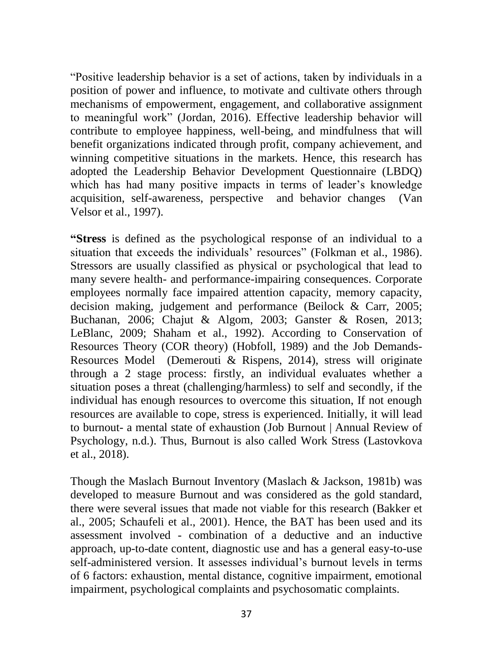"Positive leadership behavior is a set of actions, taken by individuals in a position of power and influence, to motivate and cultivate others through mechanisms of empowerment, engagement, and collaborative assignment to meaningful work" (Jordan, 2016). Effective leadership behavior will contribute to employee happiness, well-being, and mindfulness that will benefit organizations indicated through profit, company achievement, and winning competitive situations in the markets. Hence, this research has adopted the Leadership Behavior Development Questionnaire (LBDQ) which has had many positive impacts in terms of leader's knowledge acquisition, self-awareness, perspective and behavior changes (Van Velsor et al., 1997).

**"Stress** is defined as the psychological response of an individual to a situation that exceeds the individuals' resources" (Folkman et al., 1986). Stressors are usually classified as physical or psychological that lead to many severe health- and performance-impairing consequences. Corporate employees normally face impaired attention capacity, memory capacity, decision making, judgement and performance (Beilock & Carr, 2005; Buchanan, 2006; Chajut & Algom, 2003; Ganster & Rosen, 2013; LeBlanc, 2009; Shaham et al., 1992). According to Conservation of Resources Theory (COR theory) (Hobfoll, 1989) and the Job Demands-Resources Model (Demerouti & Rispens, 2014), stress will originate through a 2 stage process: firstly, an individual evaluates whether a situation poses a threat (challenging/harmless) to self and secondly, if the individual has enough resources to overcome this situation, If not enough resources are available to cope, stress is experienced. Initially, it will lead to burnout- a mental state of exhaustion (Job Burnout | Annual Review of Psychology, n.d.). Thus, Burnout is also called Work Stress (Lastovkova et al., 2018).

Though the Maslach Burnout Inventory (Maslach & Jackson, 1981b) was developed to measure Burnout and was considered as the gold standard, there were several issues that made not viable for this research (Bakker et al., 2005; Schaufeli et al., 2001). Hence, the BAT has been used and its assessment involved - combination of a deductive and an inductive approach, up-to-date content, diagnostic use and has a general easy-to-use self-administered version. It assesses individual's burnout levels in terms of 6 factors: exhaustion, mental distance, cognitive impairment, emotional impairment, psychological complaints and psychosomatic complaints.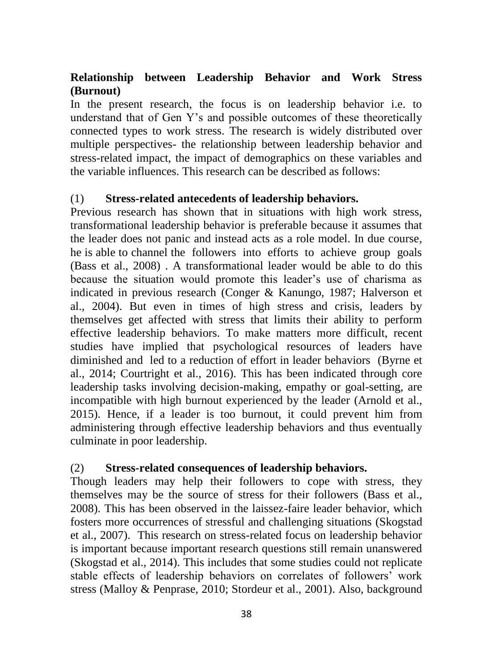## **Relationship between Leadership Behavior and Work Stress (Burnout)**

In the present research, the focus is on leadership behavior i.e. to understand that of Gen Y's and possible outcomes of these theoretically connected types to work stress. The research is widely distributed over multiple perspectives- the relationship between leadership behavior and stress-related impact, the impact of demographics on these variables and the variable influences. This research can be described as follows:

### (1) **Stress-related antecedents of leadership behaviors.**

Previous research has shown that in situations with high work stress, transformational leadership behavior is preferable because it assumes that the leader does not panic and instead acts as a role model. In due course, he is able to channel the followers into efforts to achieve group goals (Bass et al., 2008) . A transformational leader would be able to do this because the situation would promote this leader's use of charisma as indicated in previous research (Conger & Kanungo, 1987; Halverson et al., 2004). But even in times of high stress and crisis, leaders by themselves get affected with stress that limits their ability to perform effective leadership behaviors. To make matters more difficult, recent studies have implied that psychological resources of leaders have diminished and led to a reduction of effort in leader behaviors (Byrne et al., 2014; Courtright et al., 2016). This has been indicated through core leadership tasks involving decision-making, empathy or goal-setting, are incompatible with high burnout experienced by the leader (Arnold et al., 2015). Hence, if a leader is too burnout, it could prevent him from administering through effective leadership behaviors and thus eventually culminate in poor leadership.

#### (2) **Stress-related consequences of leadership behaviors.**

Though leaders may help their followers to cope with stress, they themselves may be the source of stress for their followers (Bass et al., 2008). This has been observed in the laissez-faire leader behavior, which fosters more occurrences of stressful and challenging situations (Skogstad et al., 2007). This research on stress-related focus on leadership behavior is important because important research questions still remain unanswered (Skogstad et al., 2014). This includes that some studies could not replicate stable effects of leadership behaviors on correlates of followers' work stress (Malloy & Penprase, 2010; Stordeur et al., 2001). Also, background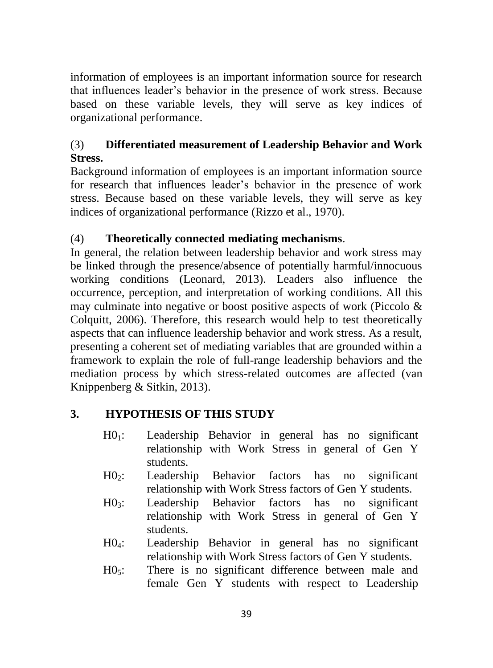information of employees is an important information source for research that influences leader's behavior in the presence of work stress. Because based on these variable levels, they will serve as key indices of organizational performance.

## (3) **Differentiated measurement of Leadership Behavior and Work Stress.**

Background information of employees is an important information source for research that influences leader's behavior in the presence of work stress. Because based on these variable levels, they will serve as key indices of organizational performance (Rizzo et al., 1970).

## (4) **Theoretically connected mediating mechanisms**.

In general, the relation between leadership behavior and work stress may be linked through the presence/absence of potentially harmful/innocuous working conditions (Leonard, 2013). Leaders also influence the occurrence, perception, and interpretation of working conditions. All this may culminate into negative or boost positive aspects of work (Piccolo  $\&$ Colquitt, 2006). Therefore, this research would help to test theoretically aspects that can influence leadership behavior and work stress. As a result, presenting a coherent set of mediating variables that are grounded within a framework to explain the role of full-range leadership behaviors and the mediation process by which stress-related outcomes are affected (van Knippenberg & Sitkin, 2013).

# **3. HYPOTHESIS OF THIS STUDY**

- $H0_1$ : Leadership Behavior in general has no significant relationship with Work Stress in general of Gen Y students.
- H02: Leadership Behavior factors has no significant relationship with Work Stress factors of Gen Y students.
- H03: Leadership Behavior factors has no significant relationship with Work Stress in general of Gen Y students.
- H04: Leadership Behavior in general has no significant relationship with Work Stress factors of Gen Y students.
- $H0<sub>5</sub>$ : There is no significant difference between male and female Gen Y students with respect to Leadership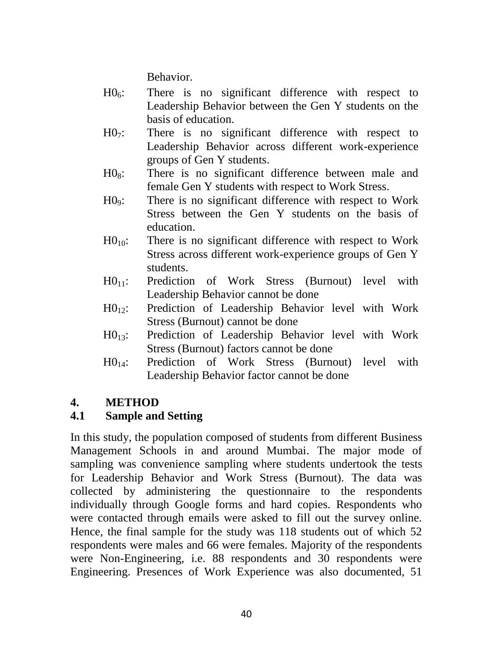Behavior.

- $H0<sub>6</sub>$ : There is no significant difference with respect to Leadership Behavior between the Gen Y students on the basis of education.
- H07: There is no significant difference with respect to Leadership Behavior across different work-experience groups of Gen Y students.
- $H0_8$ : There is no significant difference between male and female Gen Y students with respect to Work Stress.
- H09: There is no significant difference with respect to Work Stress between the Gen Y students on the basis of education.
- $H0_{10}$ : There is no significant difference with respect to Work Stress across different work-experience groups of Gen Y students.
- $H0_{11}$ : Prediction of Work Stress (Burnout) level with Leadership Behavior cannot be done
- H0<sub>12</sub>: Prediction of Leadership Behavior level with Work Stress (Burnout) cannot be done
- H013: Prediction of Leadership Behavior level with Work Stress (Burnout) factors cannot be done
- H014: Prediction of Work Stress (Burnout) level with Leadership Behavior factor cannot be done

## **4. METHOD**

## **4.1 Sample and Setting**

In this study, the population composed of students from different Business Management Schools in and around Mumbai. The major mode of sampling was convenience sampling where students undertook the tests for Leadership Behavior and Work Stress (Burnout). The data was collected by administering the questionnaire to the respondents individually through Google forms and hard copies. Respondents who were contacted through emails were asked to fill out the survey online. Hence, the final sample for the study was 118 students out of which 52 respondents were males and 66 were females. Majority of the respondents were Non-Engineering, i.e. 88 respondents and 30 respondents were Engineering. Presences of Work Experience was also documented, 51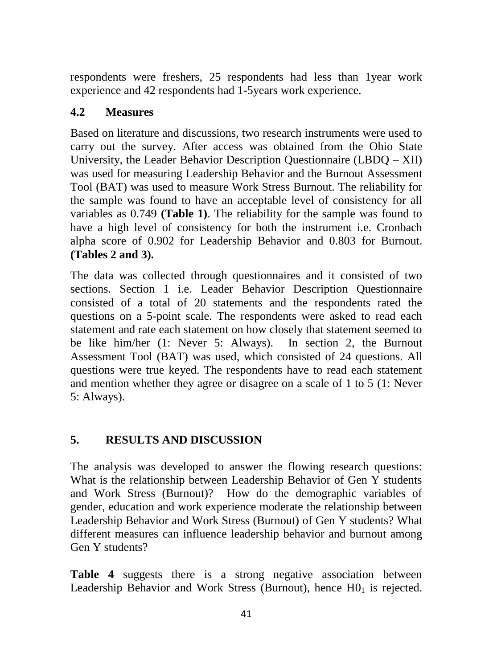respondents were freshers, 25 respondents had less than 1year work experience and 42 respondents had 1-5years work experience.

## **4.2 Measures**

Based on literature and discussions, two research instruments were used to carry out the survey. After access was obtained from the Ohio State University, the Leader Behavior Description Questionnaire (LBDQ – XII) was used for measuring Leadership Behavior and the Burnout Assessment Tool (BAT) was used to measure Work Stress Burnout. The reliability for the sample was found to have an acceptable level of consistency for all variables as 0.749 **(Table 1)**. The reliability for the sample was found to have a high level of consistency for both the instrument i.e. Cronbach alpha score of 0.902 for Leadership Behavior and 0.803 for Burnout. **(Tables 2 and 3).**

The data was collected through questionnaires and it consisted of two sections. Section 1 i.e. Leader Behavior Description Questionnaire consisted of a total of 20 statements and the respondents rated the questions on a 5-point scale. The respondents were asked to read each statement and rate each statement on how closely that statement seemed to be like him/her (1: Never 5: Always). In section 2, the Burnout Assessment Tool (BAT) was used, which consisted of 24 questions. All questions were true keyed. The respondents have to read each statement and mention whether they agree or disagree on a scale of 1 to 5 (1: Never 5: Always).

## **5. RESULTS AND DISCUSSION**

The analysis was developed to answer the flowing research questions: What is the relationship between Leadership Behavior of Gen Y students and Work Stress (Burnout)? How do the demographic variables of gender, education and work experience moderate the relationship between Leadership Behavior and Work Stress (Burnout) of Gen Y students? What different measures can influence leadership behavior and burnout among Gen Y students?

**Table 4** suggests there is a strong negative association between Leadership Behavior and Work Stress (Burnout), hence  $H0<sub>1</sub>$  is rejected.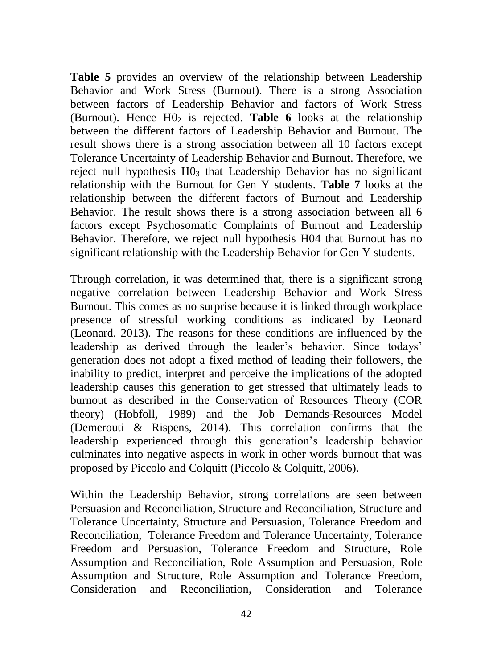**Table 5** provides an overview of the relationship between Leadership Behavior and Work Stress (Burnout). There is a strong Association between factors of Leadership Behavior and factors of Work Stress (Burnout). Hence  $H0<sub>2</sub>$  is rejected. **Table 6** looks at the relationship between the different factors of Leadership Behavior and Burnout. The result shows there is a strong association between all 10 factors except Tolerance Uncertainty of Leadership Behavior and Burnout. Therefore, we reject null hypothesis  $H_0$ 3 that Leadership Behavior has no significant relationship with the Burnout for Gen Y students. **Table 7** looks at the relationship between the different factors of Burnout and Leadership Behavior. The result shows there is a strong association between all 6 factors except Psychosomatic Complaints of Burnout and Leadership Behavior. Therefore, we reject null hypothesis H04 that Burnout has no significant relationship with the Leadership Behavior for Gen Y students.

Through correlation, it was determined that, there is a significant strong negative correlation between Leadership Behavior and Work Stress Burnout. This comes as no surprise because it is linked through workplace presence of stressful working conditions as indicated by Leonard (Leonard, 2013). The reasons for these conditions are influenced by the leadership as derived through the leader's behavior. Since todays' generation does not adopt a fixed method of leading their followers, the inability to predict, interpret and perceive the implications of the adopted leadership causes this generation to get stressed that ultimately leads to burnout as described in the Conservation of Resources Theory (COR theory) (Hobfoll, 1989) and the Job Demands-Resources Model (Demerouti & Rispens, 2014). This correlation confirms that the leadership experienced through this generation's leadership behavior culminates into negative aspects in work in other words burnout that was proposed by Piccolo and Colquitt (Piccolo & Colquitt, 2006).

Within the Leadership Behavior, strong correlations are seen between Persuasion and Reconciliation, Structure and Reconciliation, Structure and Tolerance Uncertainty, Structure and Persuasion, Tolerance Freedom and Reconciliation, Tolerance Freedom and Tolerance Uncertainty, Tolerance Freedom and Persuasion, Tolerance Freedom and Structure, Role Assumption and Reconciliation, Role Assumption and Persuasion, Role Assumption and Structure, Role Assumption and Tolerance Freedom, Consideration and Reconciliation, Consideration and Tolerance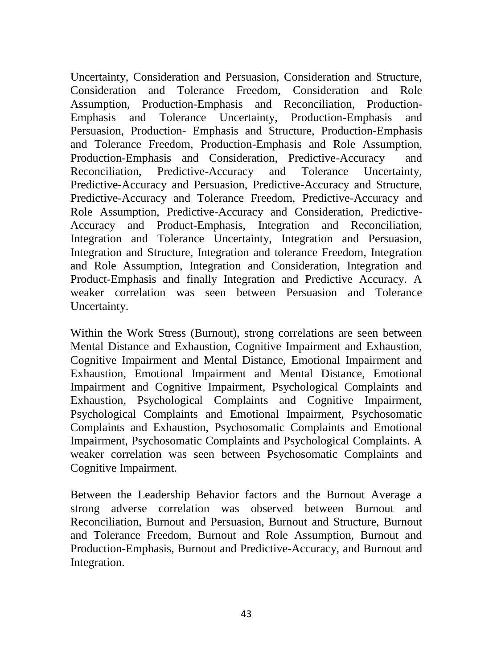Uncertainty, Consideration and Persuasion, Consideration and Structure, Consideration and Tolerance Freedom, Consideration and Role Assumption, Production-Emphasis and Reconciliation, Production-Emphasis and Tolerance Uncertainty, Production-Emphasis and Persuasion, Production- Emphasis and Structure, Production-Emphasis and Tolerance Freedom, Production-Emphasis and Role Assumption, Production-Emphasis and Consideration, Predictive-Accuracy and Reconciliation, Predictive-Accuracy and Tolerance Uncertainty, Predictive-Accuracy and Persuasion, Predictive-Accuracy and Structure, Predictive-Accuracy and Tolerance Freedom, Predictive-Accuracy and Role Assumption, Predictive-Accuracy and Consideration, Predictive-Accuracy and Product-Emphasis, Integration and Reconciliation, Integration and Tolerance Uncertainty, Integration and Persuasion, Integration and Structure, Integration and tolerance Freedom, Integration and Role Assumption, Integration and Consideration, Integration and Product-Emphasis and finally Integration and Predictive Accuracy. A weaker correlation was seen between Persuasion and Tolerance Uncertainty.

Within the Work Stress (Burnout), strong correlations are seen between Mental Distance and Exhaustion, Cognitive Impairment and Exhaustion, Cognitive Impairment and Mental Distance, Emotional Impairment and Exhaustion, Emotional Impairment and Mental Distance, Emotional Impairment and Cognitive Impairment, Psychological Complaints and Exhaustion, Psychological Complaints and Cognitive Impairment, Psychological Complaints and Emotional Impairment, Psychosomatic Complaints and Exhaustion, Psychosomatic Complaints and Emotional Impairment, Psychosomatic Complaints and Psychological Complaints. A weaker correlation was seen between Psychosomatic Complaints and Cognitive Impairment.

Between the Leadership Behavior factors and the Burnout Average a strong adverse correlation was observed between Burnout and Reconciliation, Burnout and Persuasion, Burnout and Structure, Burnout and Tolerance Freedom, Burnout and Role Assumption, Burnout and Production-Emphasis, Burnout and Predictive-Accuracy, and Burnout and Integration.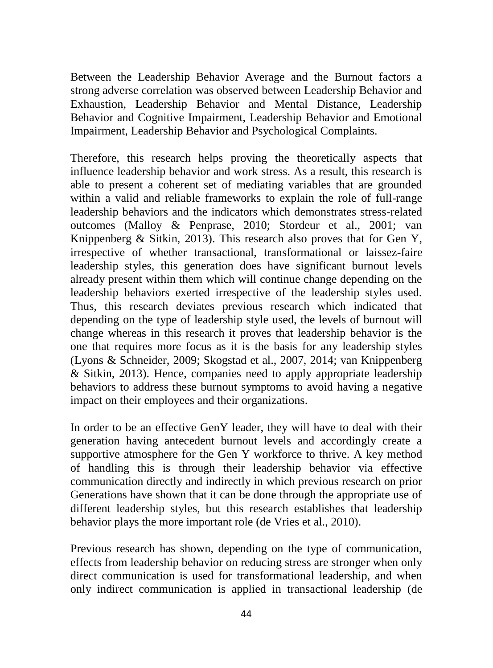Between the Leadership Behavior Average and the Burnout factors a strong adverse correlation was observed between Leadership Behavior and Exhaustion, Leadership Behavior and Mental Distance, Leadership Behavior and Cognitive Impairment, Leadership Behavior and Emotional Impairment, Leadership Behavior and Psychological Complaints.

Therefore, this research helps proving the theoretically aspects that influence leadership behavior and work stress. As a result, this research is able to present a coherent set of mediating variables that are grounded within a valid and reliable frameworks to explain the role of full-range leadership behaviors and the indicators which demonstrates stress-related outcomes (Malloy & Penprase, 2010; Stordeur et al., 2001; van Knippenberg & Sitkin, 2013). This research also proves that for Gen Y, irrespective of whether transactional, transformational or laissez-faire leadership styles, this generation does have significant burnout levels already present within them which will continue change depending on the leadership behaviors exerted irrespective of the leadership styles used. Thus, this research deviates previous research which indicated that depending on the type of leadership style used, the levels of burnout will change whereas in this research it proves that leadership behavior is the one that requires more focus as it is the basis for any leadership styles (Lyons & Schneider, 2009; Skogstad et al., 2007, 2014; van Knippenberg & Sitkin, 2013). Hence, companies need to apply appropriate leadership behaviors to address these burnout symptoms to avoid having a negative impact on their employees and their organizations.

In order to be an effective GenY leader, they will have to deal with their generation having antecedent burnout levels and accordingly create a supportive atmosphere for the Gen Y workforce to thrive. A key method of handling this is through their leadership behavior via effective communication directly and indirectly in which previous research on prior Generations have shown that it can be done through the appropriate use of different leadership styles, but this research establishes that leadership behavior plays the more important role (de Vries et al., 2010).

Previous research has shown, depending on the type of communication, effects from leadership behavior on reducing stress are stronger when only direct communication is used for transformational leadership, and when only indirect communication is applied in transactional leadership (de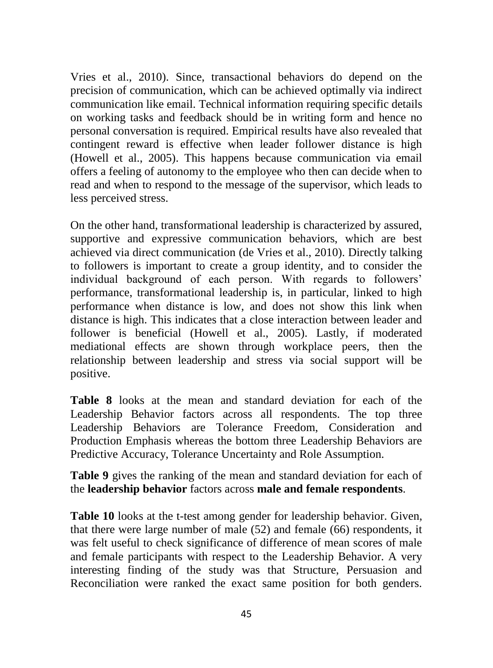Vries et al., 2010). Since, transactional behaviors do depend on the precision of communication, which can be achieved optimally via indirect communication like email. Technical information requiring specific details on working tasks and feedback should be in writing form and hence no personal conversation is required. Empirical results have also revealed that contingent reward is effective when leader follower distance is high (Howell et al., 2005). This happens because communication via email offers a feeling of autonomy to the employee who then can decide when to read and when to respond to the message of the supervisor, which leads to less perceived stress.

On the other hand, transformational leadership is characterized by assured, supportive and expressive communication behaviors, which are best achieved via direct communication (de Vries et al., 2010). Directly talking to followers is important to create a group identity, and to consider the individual background of each person. With regards to followers' performance, transformational leadership is, in particular, linked to high performance when distance is low, and does not show this link when distance is high. This indicates that a close interaction between leader and follower is beneficial (Howell et al., 2005). Lastly, if moderated mediational effects are shown through workplace peers, then the relationship between leadership and stress via social support will be positive.

**Table 8** looks at the mean and standard deviation for each of the Leadership Behavior factors across all respondents. The top three Leadership Behaviors are Tolerance Freedom, Consideration and Production Emphasis whereas the bottom three Leadership Behaviors are Predictive Accuracy, Tolerance Uncertainty and Role Assumption.

**Table 9** gives the ranking of the mean and standard deviation for each of the **leadership behavior** factors across **male and female respondents**.

**Table 10** looks at the t-test among gender for leadership behavior. Given, that there were large number of male (52) and female (66) respondents, it was felt useful to check significance of difference of mean scores of male and female participants with respect to the Leadership Behavior. A very interesting finding of the study was that Structure, Persuasion and Reconciliation were ranked the exact same position for both genders.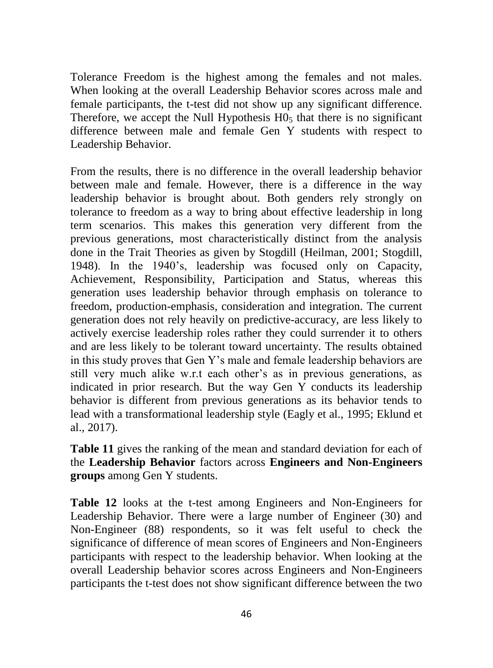Tolerance Freedom is the highest among the females and not males. When looking at the overall Leadership Behavior scores across male and female participants, the t-test did not show up any significant difference. Therefore, we accept the Null Hypothesis  $H_0$ <sub>5</sub> that there is no significant difference between male and female Gen Y students with respect to Leadership Behavior.

From the results, there is no difference in the overall leadership behavior between male and female. However, there is a difference in the way leadership behavior is brought about. Both genders rely strongly on tolerance to freedom as a way to bring about effective leadership in long term scenarios. This makes this generation very different from the previous generations, most characteristically distinct from the analysis done in the Trait Theories as given by Stogdill (Heilman, 2001; Stogdill, 1948). In the 1940's, leadership was focused only on Capacity, Achievement, Responsibility, Participation and Status, whereas this generation uses leadership behavior through emphasis on tolerance to freedom, production-emphasis, consideration and integration. The current generation does not rely heavily on predictive-accuracy, are less likely to actively exercise leadership roles rather they could surrender it to others and are less likely to be tolerant toward uncertainty. The results obtained in this study proves that Gen Y's male and female leadership behaviors are still very much alike w.r.t each other's as in previous generations, as indicated in prior research. But the way Gen Y conducts its leadership behavior is different from previous generations as its behavior tends to lead with a transformational leadership style (Eagly et al., 1995; Eklund et al., 2017).

**Table 11** gives the ranking of the mean and standard deviation for each of the **Leadership Behavior** factors across **Engineers and Non-Engineers groups** among Gen Y students.

**Table 12** looks at the t-test among Engineers and Non-Engineers for Leadership Behavior. There were a large number of Engineer (30) and Non-Engineer (88) respondents, so it was felt useful to check the significance of difference of mean scores of Engineers and Non-Engineers participants with respect to the leadership behavior. When looking at the overall Leadership behavior scores across Engineers and Non-Engineers participants the t-test does not show significant difference between the two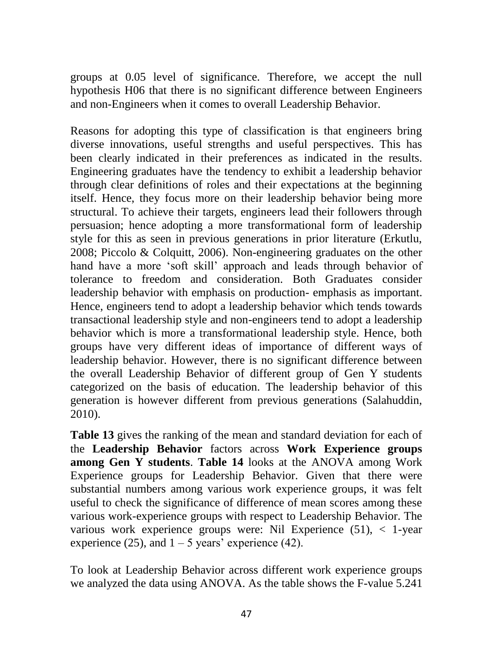groups at 0.05 level of significance. Therefore, we accept the null hypothesis H06 that there is no significant difference between Engineers and non-Engineers when it comes to overall Leadership Behavior.

Reasons for adopting this type of classification is that engineers bring diverse innovations, useful strengths and useful perspectives. This has been clearly indicated in their preferences as indicated in the results. Engineering graduates have the tendency to exhibit a leadership behavior through clear definitions of roles and their expectations at the beginning itself. Hence, they focus more on their leadership behavior being more structural. To achieve their targets, engineers lead their followers through persuasion; hence adopting a more transformational form of leadership style for this as seen in previous generations in prior literature (Erkutlu, 2008; Piccolo & Colquitt, 2006). Non-engineering graduates on the other hand have a more 'soft skill' approach and leads through behavior of tolerance to freedom and consideration. Both Graduates consider leadership behavior with emphasis on production- emphasis as important. Hence, engineers tend to adopt a leadership behavior which tends towards transactional leadership style and non-engineers tend to adopt a leadership behavior which is more a transformational leadership style. Hence, both groups have very different ideas of importance of different ways of leadership behavior. However, there is no significant difference between the overall Leadership Behavior of different group of Gen Y students categorized on the basis of education. The leadership behavior of this generation is however different from previous generations (Salahuddin, 2010).

**Table 13** gives the ranking of the mean and standard deviation for each of the **Leadership Behavior** factors across **Work Experience groups among Gen Y students**. **Table 14** looks at the ANOVA among Work Experience groups for Leadership Behavior. Given that there were substantial numbers among various work experience groups, it was felt useful to check the significance of difference of mean scores among these various work-experience groups with respect to Leadership Behavior. The various work experience groups were: Nil Experience (51), < 1-year experience (25), and  $1 - 5$  years' experience (42).

To look at Leadership Behavior across different work experience groups we analyzed the data using ANOVA. As the table shows the F-value 5.241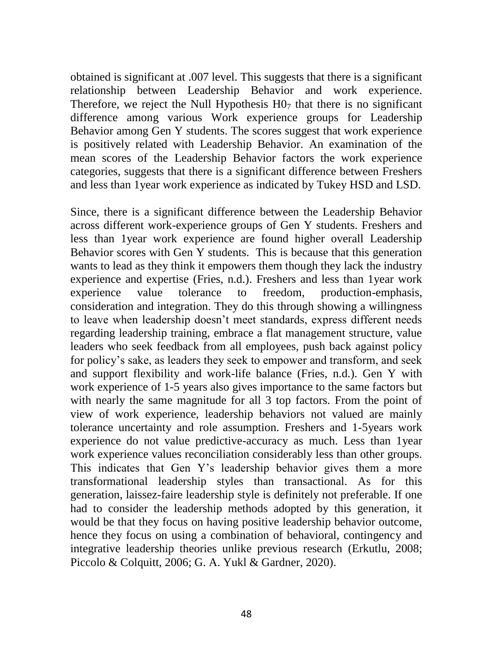obtained is significant at .007 level. This suggests that there is a significant relationship between Leadership Behavior and work experience. Therefore, we reject the Null Hypothesis  $H_0$ <sup>that there is no significant</sup> difference among various Work experience groups for Leadership Behavior among Gen Y students. The scores suggest that work experience is positively related with Leadership Behavior. An examination of the mean scores of the Leadership Behavior factors the work experience categories, suggests that there is a significant difference between Freshers and less than 1year work experience as indicated by Tukey HSD and LSD.

Since, there is a significant difference between the Leadership Behavior across different work-experience groups of Gen Y students. Freshers and less than 1year work experience are found higher overall Leadership Behavior scores with Gen Y students. This is because that this generation wants to lead as they think it empowers them though they lack the industry experience and expertise (Fries, n.d.). Freshers and less than 1year work experience value tolerance to freedom, production-emphasis, consideration and integration. They do this through showing a willingness to leave when leadership doesn't meet standards, express different needs regarding leadership training, embrace a flat management structure, value leaders who seek feedback from all employees, push back against policy for policy's sake, as leaders they seek to empower and transform, and seek and support flexibility and work-life balance (Fries, n.d.). Gen Y with work experience of 1-5 years also gives importance to the same factors but with nearly the same magnitude for all 3 top factors. From the point of view of work experience, leadership behaviors not valued are mainly tolerance uncertainty and role assumption. Freshers and 1-5years work experience do not value predictive-accuracy as much. Less than 1year work experience values reconciliation considerably less than other groups. This indicates that Gen Y's leadership behavior gives them a more transformational leadership styles than transactional. As for this generation, laissez-faire leadership style is definitely not preferable. If one had to consider the leadership methods adopted by this generation, it would be that they focus on having positive leadership behavior outcome, hence they focus on using a combination of behavioral, contingency and integrative leadership theories unlike previous research (Erkutlu, 2008; Piccolo & Colquitt, 2006; G. A. Yukl & Gardner, 2020).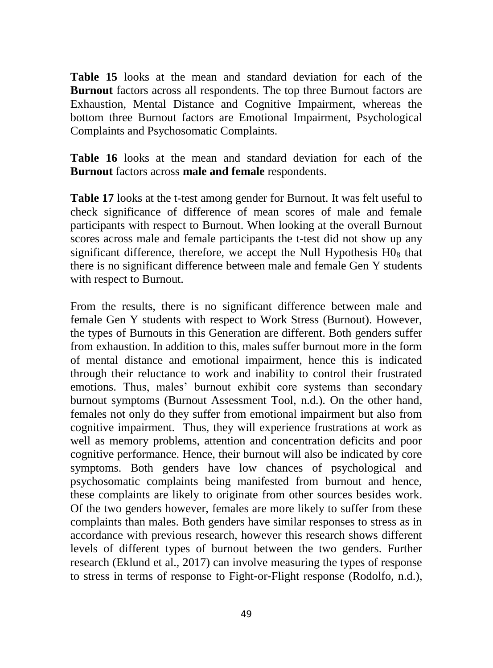**Table 15** looks at the mean and standard deviation for each of the **Burnout** factors across all respondents. The top three Burnout factors are Exhaustion, Mental Distance and Cognitive Impairment, whereas the bottom three Burnout factors are Emotional Impairment, Psychological Complaints and Psychosomatic Complaints.

**Table 16** looks at the mean and standard deviation for each of the **Burnout** factors across **male and female** respondents.

**Table 17** looks at the t-test among gender for Burnout. It was felt useful to check significance of difference of mean scores of male and female participants with respect to Burnout. When looking at the overall Burnout scores across male and female participants the t-test did not show up any significant difference, therefore, we accept the Null Hypothesis  $H_0$ <sub>s</sub> that there is no significant difference between male and female Gen Y students with respect to Burnout.

From the results, there is no significant difference between male and female Gen Y students with respect to Work Stress (Burnout). However, the types of Burnouts in this Generation are different. Both genders suffer from exhaustion. In addition to this, males suffer burnout more in the form of mental distance and emotional impairment, hence this is indicated through their reluctance to work and inability to control their frustrated emotions. Thus, males' burnout exhibit core systems than secondary burnout symptoms (Burnout Assessment Tool, n.d.). On the other hand, females not only do they suffer from emotional impairment but also from cognitive impairment. Thus, they will experience frustrations at work as well as memory problems, attention and concentration deficits and poor cognitive performance. Hence, their burnout will also be indicated by core symptoms. Both genders have low chances of psychological and psychosomatic complaints being manifested from burnout and hence, these complaints are likely to originate from other sources besides work. Of the two genders however, females are more likely to suffer from these complaints than males. Both genders have similar responses to stress as in accordance with previous research, however this research shows different levels of different types of burnout between the two genders. Further research (Eklund et al., 2017) can involve measuring the types of response to stress in terms of response to Fight‐or‐Flight response (Rodolfo, n.d.),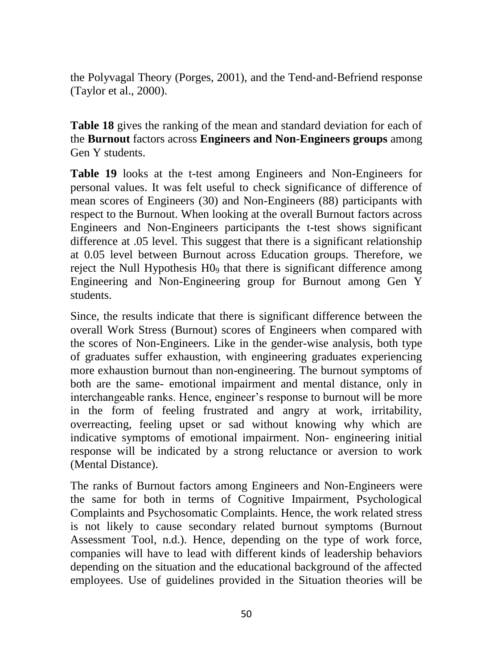the Polyvagal Theory (Porges, 2001), and the Tend‐and‐Befriend response (Taylor et al., 2000).

**Table 18** gives the ranking of the mean and standard deviation for each of the **Burnout** factors across **Engineers and Non-Engineers groups** among Gen Y students.

**Table 19** looks at the t-test among Engineers and Non-Engineers for personal values. It was felt useful to check significance of difference of mean scores of Engineers (30) and Non-Engineers (88) participants with respect to the Burnout. When looking at the overall Burnout factors across Engineers and Non-Engineers participants the t-test shows significant difference at .05 level. This suggest that there is a significant relationship at 0.05 level between Burnout across Education groups. Therefore, we reject the Null Hypothesis H0<sup>9</sup> that there is significant difference among Engineering and Non-Engineering group for Burnout among Gen Y students.

Since, the results indicate that there is significant difference between the overall Work Stress (Burnout) scores of Engineers when compared with the scores of Non-Engineers. Like in the gender-wise analysis, both type of graduates suffer exhaustion, with engineering graduates experiencing more exhaustion burnout than non-engineering. The burnout symptoms of both are the same- emotional impairment and mental distance, only in interchangeable ranks. Hence, engineer's response to burnout will be more in the form of feeling frustrated and angry at work, irritability, overreacting, feeling upset or sad without knowing why which are indicative symptoms of emotional impairment. Non- engineering initial response will be indicated by a strong reluctance or aversion to work (Mental Distance).

The ranks of Burnout factors among Engineers and Non-Engineers were the same for both in terms of Cognitive Impairment, Psychological Complaints and Psychosomatic Complaints. Hence, the work related stress is not likely to cause secondary related burnout symptoms (Burnout Assessment Tool, n.d.). Hence, depending on the type of work force, companies will have to lead with different kinds of leadership behaviors depending on the situation and the educational background of the affected employees. Use of guidelines provided in the Situation theories will be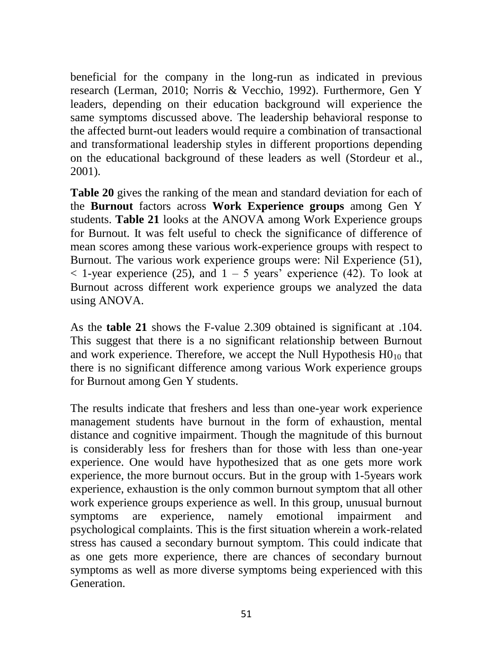beneficial for the company in the long-run as indicated in previous research (Lerman, 2010; Norris & Vecchio, 1992). Furthermore, Gen Y leaders, depending on their education background will experience the same symptoms discussed above. The leadership behavioral response to the affected burnt-out leaders would require a combination of transactional and transformational leadership styles in different proportions depending on the educational background of these leaders as well (Stordeur et al., 2001).

**Table 20** gives the ranking of the mean and standard deviation for each of the **Burnout** factors across **Work Experience groups** among Gen Y students. **Table 21** looks at the ANOVA among Work Experience groups for Burnout. It was felt useful to check the significance of difference of mean scores among these various work-experience groups with respect to Burnout. The various work experience groups were: Nil Experience (51),  $<$  1-year experience (25), and 1 – 5 years' experience (42). To look at Burnout across different work experience groups we analyzed the data using ANOVA.

As the **table 21** shows the F-value 2.309 obtained is significant at .104. This suggest that there is a no significant relationship between Burnout and work experience. Therefore, we accept the Null Hypothesis  $HO_{10}$  that there is no significant difference among various Work experience groups for Burnout among Gen Y students.

The results indicate that freshers and less than one-year work experience management students have burnout in the form of exhaustion, mental distance and cognitive impairment. Though the magnitude of this burnout is considerably less for freshers than for those with less than one-year experience. One would have hypothesized that as one gets more work experience, the more burnout occurs. But in the group with 1-5years work experience, exhaustion is the only common burnout symptom that all other work experience groups experience as well. In this group, unusual burnout symptoms are experience, namely emotional impairment and psychological complaints. This is the first situation wherein a work-related stress has caused a secondary burnout symptom. This could indicate that as one gets more experience, there are chances of secondary burnout symptoms as well as more diverse symptoms being experienced with this Generation.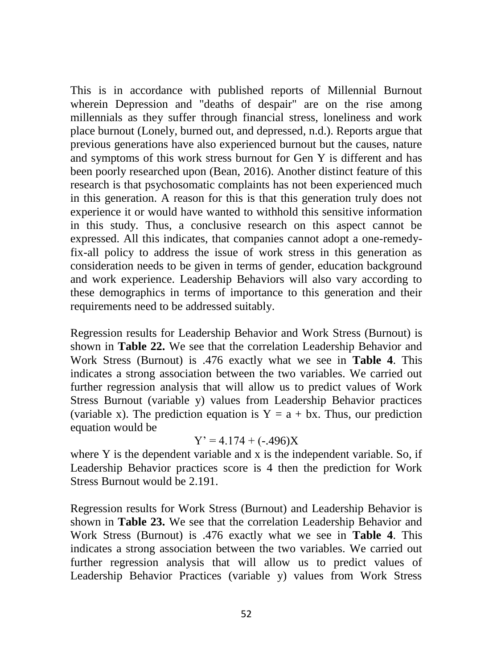This is in accordance with published reports of Millennial Burnout wherein Depression and "deaths of despair" are on the rise among millennials as they suffer through financial stress, loneliness and work place burnout (Lonely, burned out, and depressed, n.d.). Reports argue that previous generations have also experienced burnout but the causes, nature and symptoms of this work stress burnout for Gen Y is different and has been poorly researched upon (Bean, 2016). Another distinct feature of this research is that psychosomatic complaints has not been experienced much in this generation. A reason for this is that this generation truly does not experience it or would have wanted to withhold this sensitive information in this study. Thus, a conclusive research on this aspect cannot be expressed. All this indicates, that companies cannot adopt a one-remedyfix-all policy to address the issue of work stress in this generation as consideration needs to be given in terms of gender, education background and work experience. Leadership Behaviors will also vary according to these demographics in terms of importance to this generation and their requirements need to be addressed suitably.

Regression results for Leadership Behavior and Work Stress (Burnout) is shown in **Table 22.** We see that the correlation Leadership Behavior and Work Stress (Burnout) is .476 exactly what we see in **Table 4**. This indicates a strong association between the two variables. We carried out further regression analysis that will allow us to predict values of Work Stress Burnout (variable y) values from Leadership Behavior practices (variable x). The prediction equation is  $Y = a + bx$ . Thus, our prediction equation would be

#### $Y' = 4.174 + (-0.496)X$

where Y is the dependent variable and x is the independent variable. So, if Leadership Behavior practices score is 4 then the prediction for Work Stress Burnout would be 2.191.

Regression results for Work Stress (Burnout) and Leadership Behavior is shown in **Table 23.** We see that the correlation Leadership Behavior and Work Stress (Burnout) is .476 exactly what we see in **Table 4**. This indicates a strong association between the two variables. We carried out further regression analysis that will allow us to predict values of Leadership Behavior Practices (variable y) values from Work Stress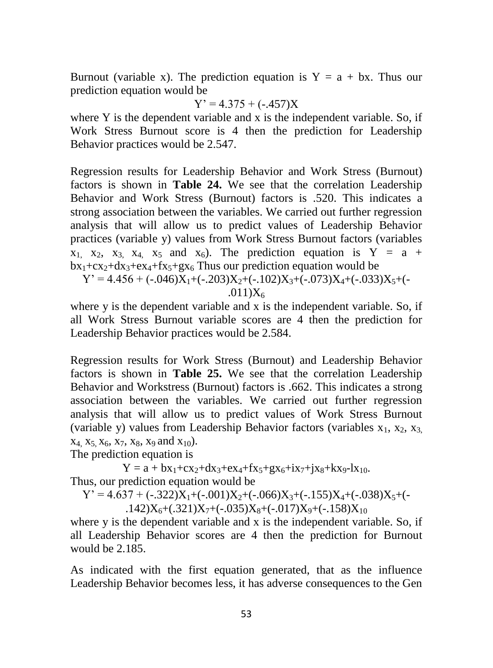Burnout (variable x). The prediction equation is  $Y = a + bx$ . Thus our prediction equation would be

$$
Y' = 4.375 + (-.457)X
$$

where Y is the dependent variable and x is the independent variable. So, if Work Stress Burnout score is 4 then the prediction for Leadership Behavior practices would be 2.547.

Regression results for Leadership Behavior and Work Stress (Burnout) factors is shown in **Table 24.** We see that the correlation Leadership Behavior and Work Stress (Burnout) factors is .520. This indicates a strong association between the variables. We carried out further regression analysis that will allow us to predict values of Leadership Behavior practices (variable y) values from Work Stress Burnout factors (variables  $x_1$ ,  $x_2$ ,  $x_3$ ,  $x_4$ ,  $x_5$  and  $x_6$ ). The prediction equation is Y = a +  $bx_1+cx_2+dx_3+ex_4+fx_5+gx_6$  Thus our prediction equation would be

 $Y' = 4.456 + (-0.046)X_1 + (-0.203)X_2 + (-0.102)X_3 + (-0.073)X_4 + (-0.033)X_5 + (-0.033)X_7$ .011) $X_6$ 

where y is the dependent variable and x is the independent variable. So, if all Work Stress Burnout variable scores are 4 then the prediction for Leadership Behavior practices would be 2.584.

Regression results for Work Stress (Burnout) and Leadership Behavior factors is shown in **Table 25.** We see that the correlation Leadership Behavior and Workstress (Burnout) factors is .662. This indicates a strong association between the variables. We carried out further regression analysis that will allow us to predict values of Work Stress Burnout (variable y) values from Leadership Behavior factors (variables  $x_1, x_2, x_3$ )  $x_4$ ,  $x_5$ ,  $x_6$ ,  $x_7$ ,  $x_8$ ,  $x_9$  and  $x_{10}$ ).

The prediction equation is

 $Y = a + bx_1 + cx_2 + dx_3 + ex_4 + fx_5 + gx_6 + ix_7 + ix_8 + kx_9 - lx_{10}$ Thus, our prediction equation would be

$$
Y' = 4.637 + (-.322)X_1 + (-.001)X_2 + (-.066)X_3 + (-.155)X_4 + (-.038)X_5 + (-.142)X_6 + (.321)X_7 + (-.035)X_8 + (-.017)X_9 + (-.158)X_{10}
$$

where y is the dependent variable and x is the independent variable. So, if all Leadership Behavior scores are 4 then the prediction for Burnout would be 2.185.

As indicated with the first equation generated, that as the influence Leadership Behavior becomes less, it has adverse consequences to the Gen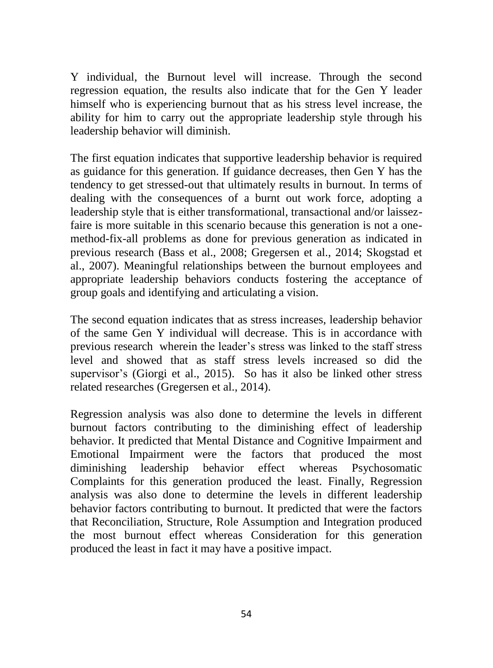Y individual, the Burnout level will increase. Through the second regression equation, the results also indicate that for the Gen Y leader himself who is experiencing burnout that as his stress level increase, the ability for him to carry out the appropriate leadership style through his leadership behavior will diminish.

The first equation indicates that supportive leadership behavior is required as guidance for this generation. If guidance decreases, then Gen Y has the tendency to get stressed-out that ultimately results in burnout. In terms of dealing with the consequences of a burnt out work force, adopting a leadership style that is either transformational, transactional and/or laissezfaire is more suitable in this scenario because this generation is not a onemethod-fix-all problems as done for previous generation as indicated in previous research (Bass et al., 2008; Gregersen et al., 2014; Skogstad et al., 2007). Meaningful relationships between the burnout employees and appropriate leadership behaviors conducts fostering the acceptance of group goals and identifying and articulating a vision.

The second equation indicates that as stress increases, leadership behavior of the same Gen Y individual will decrease. This is in accordance with previous research wherein the leader's stress was linked to the staff stress level and showed that as staff stress levels increased so did the supervisor's (Giorgi et al., 2015). So has it also be linked other stress related researches (Gregersen et al., 2014).

Regression analysis was also done to determine the levels in different burnout factors contributing to the diminishing effect of leadership behavior. It predicted that Mental Distance and Cognitive Impairment and Emotional Impairment were the factors that produced the most diminishing leadership behavior effect whereas Psychosomatic Complaints for this generation produced the least. Finally, Regression analysis was also done to determine the levels in different leadership behavior factors contributing to burnout. It predicted that were the factors that Reconciliation, Structure, Role Assumption and Integration produced the most burnout effect whereas Consideration for this generation produced the least in fact it may have a positive impact.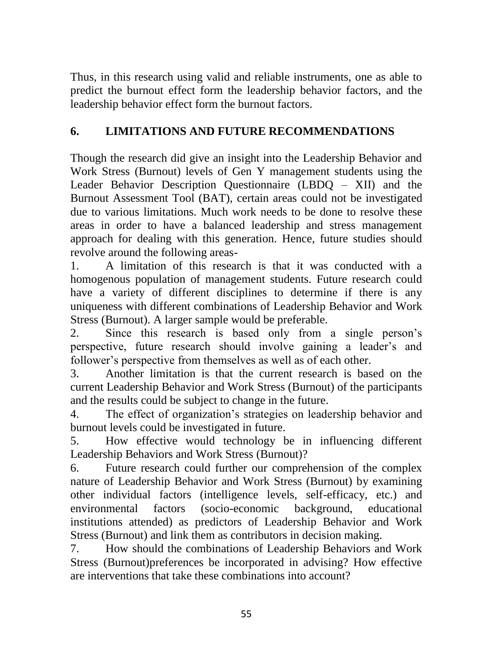Thus, in this research using valid and reliable instruments, one as able to predict the burnout effect form the leadership behavior factors, and the leadership behavior effect form the burnout factors.

# **6. LIMITATIONS AND FUTURE RECOMMENDATIONS**

Though the research did give an insight into the Leadership Behavior and Work Stress (Burnout) levels of Gen Y management students using the Leader Behavior Description Questionnaire (LBDQ – XII) and the Burnout Assessment Tool (BAT), certain areas could not be investigated due to various limitations. Much work needs to be done to resolve these areas in order to have a balanced leadership and stress management approach for dealing with this generation. Hence, future studies should revolve around the following areas-

1. A limitation of this research is that it was conducted with a homogenous population of management students. Future research could have a variety of different disciplines to determine if there is any uniqueness with different combinations of Leadership Behavior and Work Stress (Burnout). A larger sample would be preferable.

2. Since this research is based only from a single person's perspective, future research should involve gaining a leader's and follower's perspective from themselves as well as of each other.

3. Another limitation is that the current research is based on the current Leadership Behavior and Work Stress (Burnout) of the participants and the results could be subject to change in the future.

4. The effect of organization's strategies on leadership behavior and burnout levels could be investigated in future.

5. How effective would technology be in influencing different Leadership Behaviors and Work Stress (Burnout)?

6. Future research could further our comprehension of the complex nature of Leadership Behavior and Work Stress (Burnout) by examining other individual factors (intelligence levels, self-efficacy, etc.) and environmental factors (socio-economic background, educational institutions attended) as predictors of Leadership Behavior and Work Stress (Burnout) and link them as contributors in decision making.

7. How should the combinations of Leadership Behaviors and Work Stress (Burnout)preferences be incorporated in advising? How effective are interventions that take these combinations into account?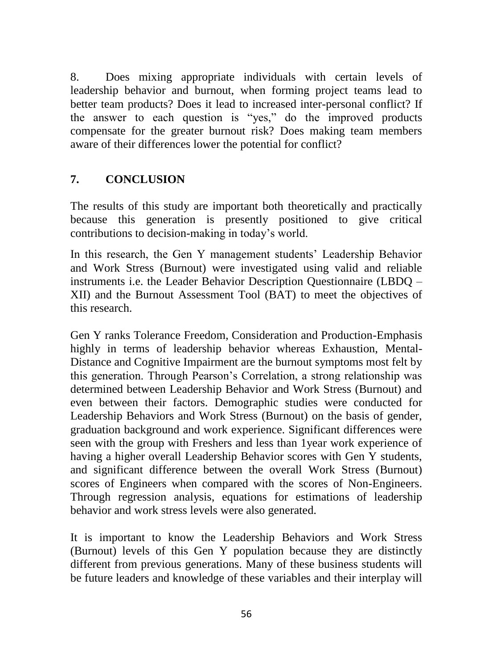8. Does mixing appropriate individuals with certain levels of leadership behavior and burnout, when forming project teams lead to better team products? Does it lead to increased inter-personal conflict? If the answer to each question is "yes," do the improved products compensate for the greater burnout risk? Does making team members aware of their differences lower the potential for conflict?

## **7. CONCLUSION**

The results of this study are important both theoretically and practically because this generation is presently positioned to give critical contributions to decision-making in today's world.

In this research, the Gen Y management students' Leadership Behavior and Work Stress (Burnout) were investigated using valid and reliable instruments i.e. the Leader Behavior Description Questionnaire (LBDQ – XII) and the Burnout Assessment Tool (BAT) to meet the objectives of this research.

Gen Y ranks Tolerance Freedom, Consideration and Production-Emphasis highly in terms of leadership behavior whereas Exhaustion, Mental-Distance and Cognitive Impairment are the burnout symptoms most felt by this generation. Through Pearson's Correlation, a strong relationship was determined between Leadership Behavior and Work Stress (Burnout) and even between their factors. Demographic studies were conducted for Leadership Behaviors and Work Stress (Burnout) on the basis of gender, graduation background and work experience. Significant differences were seen with the group with Freshers and less than 1year work experience of having a higher overall Leadership Behavior scores with Gen Y students, and significant difference between the overall Work Stress (Burnout) scores of Engineers when compared with the scores of Non-Engineers. Through regression analysis, equations for estimations of leadership behavior and work stress levels were also generated.

It is important to know the Leadership Behaviors and Work Stress (Burnout) levels of this Gen Y population because they are distinctly different from previous generations. Many of these business students will be future leaders and knowledge of these variables and their interplay will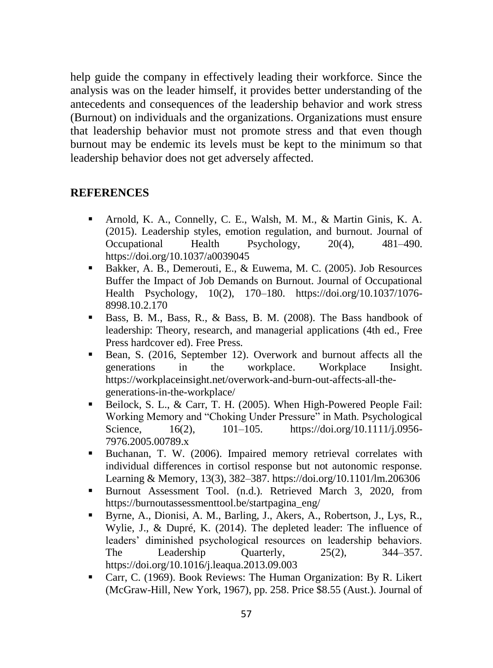help guide the company in effectively leading their workforce. Since the analysis was on the leader himself, it provides better understanding of the antecedents and consequences of the leadership behavior and work stress (Burnout) on individuals and the organizations. Organizations must ensure that leadership behavior must not promote stress and that even though burnout may be endemic its levels must be kept to the minimum so that leadership behavior does not get adversely affected.

#### **REFERENCES**

- Arnold, K. A., Connelly, C. E., Walsh, M. M., & Martin Ginis, K. A. (2015). Leadership styles, emotion regulation, and burnout. Journal of Occupational Health Psychology, 20(4), 481–490. https://doi.org/10.1037/a0039045
- Bakker, A. B., Demerouti, E., & Euwema, M. C. (2005). Job Resources Buffer the Impact of Job Demands on Burnout. Journal of Occupational Health Psychology, 10(2), 170–180. https://doi.org/10.1037/1076- 8998.10.2.170
- Bass, B. M., Bass, R., & Bass, B. M. (2008). The Bass handbook of leadership: Theory, research, and managerial applications (4th ed., Free Press hardcover ed). Free Press.
- Bean, S. (2016, September 12). Overwork and burnout affects all the generations in the workplace. Workplace Insight. https://workplaceinsight.net/overwork-and-burn-out-affects-all-thegenerations-in-the-workplace/
- Beilock, S. L., & Carr, T. H. (2005). When High-Powered People Fail: Working Memory and "Choking Under Pressure" in Math. Psychological Science, 16(2), 101–105. https://doi.org/10.1111/j.0956-7976.2005.00789.x
- Buchanan, T. W. (2006). Impaired memory retrieval correlates with individual differences in cortisol response but not autonomic response. Learning & Memory, 13(3), 382–387. https://doi.org/10.1101/lm.206306
- Burnout Assessment Tool. (n.d.). Retrieved March 3, 2020, from https://burnoutassessmenttool.be/startpagina\_eng/
- Byrne, A., Dionisi, A. M., Barling, J., Akers, A., Robertson, J., Lys, R., Wylie, J., & Dupré, K. (2014). The depleted leader: The influence of leaders' diminished psychological resources on leadership behaviors. The Leadership Quarterly,  $25(2)$ ,  $344-357$ . https://doi.org/10.1016/j.leaqua.2013.09.003
- Carr, C. (1969). Book Reviews: The Human Organization: By R. Likert (McGraw-Hill, New York, 1967), pp. 258. Price \$8.55 (Aust.). Journal of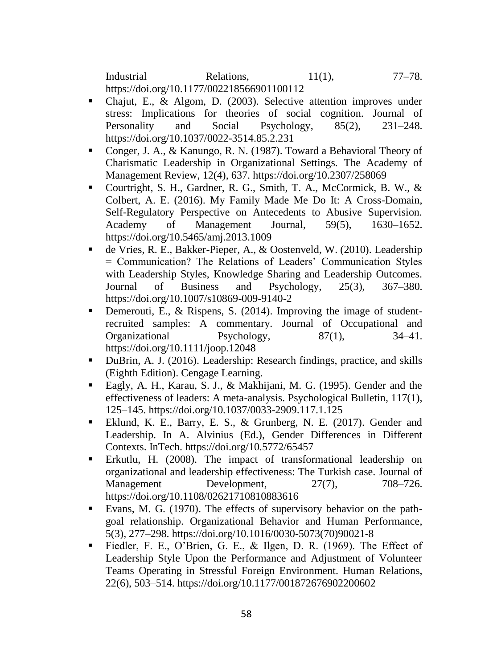Industrial Relations, 11(1), 77–78. https://doi.org/10.1177/002218566901100112

- Chajut, E., & Algom, D. (2003). Selective attention improves under stress: Implications for theories of social cognition. Journal of Personality and Social Psychology, 85(2), 231–248. https://doi.org/10.1037/0022-3514.85.2.231
- Conger, J. A., & Kanungo, R. N. (1987). Toward a Behavioral Theory of Charismatic Leadership in Organizational Settings. The Academy of Management Review, 12(4), 637. https://doi.org/10.2307/258069
- Courtright, S. H., Gardner, R. G., Smith, T. A., McCormick, B. W., & Colbert, A. E. (2016). My Family Made Me Do It: A Cross-Domain, Self-Regulatory Perspective on Antecedents to Abusive Supervision. Academy of Management Journal, 59(5), 1630–1652. https://doi.org/10.5465/amj.2013.1009
- de Vries, R. E., Bakker-Pieper, A., & Oostenveld, W. (2010). Leadership = Communication? The Relations of Leaders' Communication Styles with Leadership Styles, Knowledge Sharing and Leadership Outcomes. Journal of Business and Psychology, 25(3), 367–380. https://doi.org/10.1007/s10869-009-9140-2
- Demerouti, E., & Rispens, S. (2014). Improving the image of studentrecruited samples: A commentary. Journal of Occupational and Organizational Psychology, 87(1), 34–41. https://doi.org/10.1111/joop.12048
- DuBrin, A. J. (2016). Leadership: Research findings, practice, and skills (Eighth Edition). Cengage Learning.
- Eagly, A. H., Karau, S. J., & Makhijani, M. G. (1995). Gender and the effectiveness of leaders: A meta-analysis. Psychological Bulletin, 117(1), 125–145. https://doi.org/10.1037/0033-2909.117.1.125
- Eklund, K. E., Barry, E. S., & Grunberg, N. E. (2017). Gender and Leadership. In A. Alvinius (Ed.), Gender Differences in Different Contexts. InTech. https://doi.org/10.5772/65457
- Erkutlu, H. (2008). The impact of transformational leadership on organizational and leadership effectiveness: The Turkish case. Journal of Management Development, 27(7), 708–726. https://doi.org/10.1108/02621710810883616
- Evans, M. G. (1970). The effects of supervisory behavior on the pathgoal relationship. Organizational Behavior and Human Performance, 5(3), 277–298. https://doi.org/10.1016/0030-5073(70)90021-8
- Fiedler, F. E., O'Brien, G. E., & Ilgen, D. R. (1969). The Effect of Leadership Style Upon the Performance and Adjustment of Volunteer Teams Operating in Stressful Foreign Environment. Human Relations, 22(6), 503–514. https://doi.org/10.1177/001872676902200602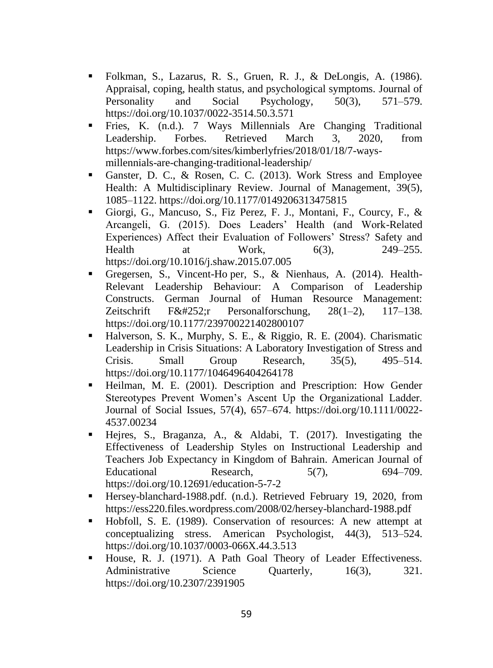- Folkman, S., Lazarus, R. S., Gruen, R. J., & DeLongis, A. (1986). Appraisal, coping, health status, and psychological symptoms. Journal of Personality and Social Psychology, 50(3), 571–579. https://doi.org/10.1037/0022-3514.50.3.571
- Fries, K. (n.d.). 7 Ways Millennials Are Changing Traditional Leadership. Forbes. Retrieved March 3, 2020, from https://www.forbes.com/sites/kimberlyfries/2018/01/18/7-waysmillennials-are-changing-traditional-leadership/
- Ganster, D. C., & Rosen, C. C. (2013). Work Stress and Employee Health: A Multidisciplinary Review. Journal of Management, 39(5), 1085–1122. https://doi.org/10.1177/0149206313475815
- Giorgi, G., Mancuso, S., Fiz Perez, F. J., Montani, F., Courcy, F., & Arcangeli, G. (2015). Does Leaders' Health (and Work-Related Experiences) Affect their Evaluation of Followers' Stress? Safety and Health at Work, 6(3), 249–255. https://doi.org/10.1016/j.shaw.2015.07.005
- Gregersen, S., Vincent-Ho per, S., & Nienhaus, A. (2014). Health-Relevant Leadership Behaviour: A Comparison of Leadership Constructs. German Journal of Human Resource Management: Zeitschrift Fü $r$  Personalforschung, 28(1–2), 117–138. https://doi.org/10.1177/239700221402800107
- Halverson, S. K., Murphy, S. E., & Riggio, R. E. (2004). Charismatic Leadership in Crisis Situations: A Laboratory Investigation of Stress and Crisis. Small Group Research, 35(5), 495–514. https://doi.org/10.1177/1046496404264178
- Heilman, M. E. (2001). Description and Prescription: How Gender Stereotypes Prevent Women's Ascent Up the Organizational Ladder. Journal of Social Issues, 57(4), 657–674. https://doi.org/10.1111/0022- 4537.00234
- Hejres, S., Braganza, A., & Aldabi, T. (2017). Investigating the Effectiveness of Leadership Styles on Instructional Leadership and Teachers Job Expectancy in Kingdom of Bahrain. American Journal of Educational Research, 5(7), 694–709. https://doi.org/10.12691/education-5-7-2
- Hersey-blanchard-1988.pdf. (n.d.). Retrieved February 19, 2020, from https://ess220.files.wordpress.com/2008/02/hersey-blanchard-1988.pdf
- Hobfoll, S. E. (1989). Conservation of resources: A new attempt at conceptualizing stress. American Psychologist, 44(3), 513–524. https://doi.org/10.1037/0003-066X.44.3.513
- House, R. J. (1971). A Path Goal Theory of Leader Effectiveness. Administrative Science Quarterly, 16(3), 321. https://doi.org/10.2307/2391905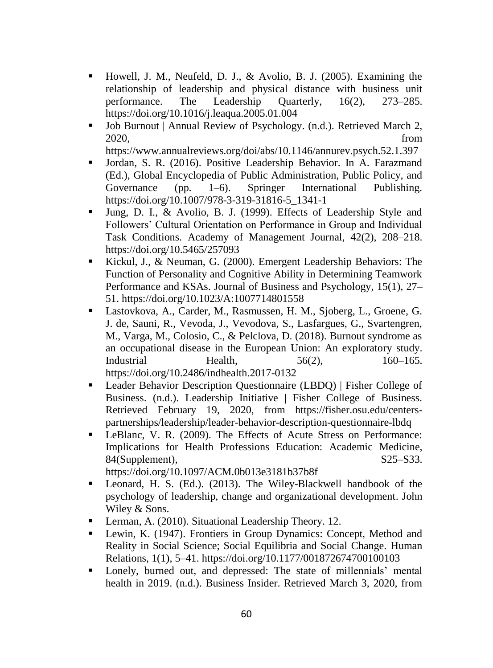- Howell, J. M., Neufeld, D. J., & Avolio, B. J. (2005). Examining the relationship of leadership and physical distance with business unit performance. The Leadership Quarterly, 16(2), 273–285. https://doi.org/10.1016/j.leaqua.2005.01.004
- Job Burnout | Annual Review of Psychology. (n.d.). Retrieved March 2, 2020, from

https://www.annualreviews.org/doi/abs/10.1146/annurev.psych.52.1.397

- Jordan, S. R. (2016). Positive Leadership Behavior. In A. Farazmand (Ed.), Global Encyclopedia of Public Administration, Public Policy, and Governance (pp. 1–6). Springer International Publishing. https://doi.org/10.1007/978-3-319-31816-5\_1341-1
- Jung, D. I., & Avolio, B. J. (1999). Effects of Leadership Style and Followers' Cultural Orientation on Performance in Group and Individual Task Conditions. Academy of Management Journal, 42(2), 208–218. https://doi.org/10.5465/257093
- Kickul, J., & Neuman, G. (2000). Emergent Leadership Behaviors: The Function of Personality and Cognitive Ability in Determining Teamwork Performance and KSAs. Journal of Business and Psychology, 15(1), 27– 51. https://doi.org/10.1023/A:1007714801558
- Lastovkova, A., Carder, M., Rasmussen, H. M., Sjoberg, L., Groene, G. J. de, Sauni, R., Vevoda, J., Vevodova, S., Lasfargues, G., Svartengren, M., Varga, M., Colosio, C., & Pelclova, D. (2018). Burnout syndrome as an occupational disease in the European Union: An exploratory study. Industrial Health, 56(2), 160–165. https://doi.org/10.2486/indhealth.2017-0132
- Leader Behavior Description Questionnaire (LBDQ) | Fisher College of Business. (n.d.). Leadership Initiative | Fisher College of Business. Retrieved February 19, 2020, from https://fisher.osu.edu/centerspartnerships/leadership/leader-behavior-description-questionnaire-lbdq
- LeBlanc, V. R. (2009). The Effects of Acute Stress on Performance: Implications for Health Professions Education: Academic Medicine, 84(Supplement), S25–S33.

https://doi.org/10.1097/ACM.0b013e3181b37b8f

- Leonard, H. S. (Ed.). (2013). The Wiley-Blackwell handbook of the psychology of leadership, change and organizational development. John Wiley & Sons.
- **Lerman, A. (2010). Situational Leadership Theory. 12.**
- Lewin, K. (1947). Frontiers in Group Dynamics: Concept, Method and Reality in Social Science; Social Equilibria and Social Change. Human Relations, 1(1), 5–41. https://doi.org/10.1177/001872674700100103
- Lonely, burned out, and depressed: The state of millennials' mental health in 2019. (n.d.). Business Insider. Retrieved March 3, 2020, from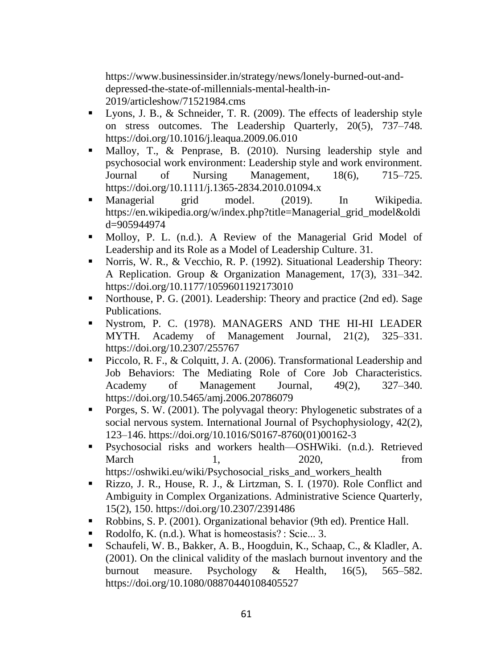https://www.businessinsider.in/strategy/news/lonely-burned-out-anddepressed-the-state-of-millennials-mental-health-in-2019/articleshow/71521984.cms

- Lyons, J. B., & Schneider, T. R. (2009). The effects of leadership style on stress outcomes. The Leadership Quarterly, 20(5), 737–748. https://doi.org/10.1016/j.leaqua.2009.06.010
- Malloy, T., & Penprase, B. (2010). Nursing leadership style and psychosocial work environment: Leadership style and work environment. Journal of Nursing Management, 18(6), 715–725. https://doi.org/10.1111/j.1365-2834.2010.01094.x
- Managerial grid model. (2019). In Wikipedia. https://en.wikipedia.org/w/index.php?title=Managerial\_grid\_model&oldi d=905944974
- Molloy, P. L. (n.d.). A Review of the Managerial Grid Model of Leadership and its Role as a Model of Leadership Culture. 31.
- Norris, W. R., & Vecchio, R. P. (1992). Situational Leadership Theory: A Replication. Group & Organization Management, 17(3), 331–342. https://doi.org/10.1177/1059601192173010
- Northouse, P. G. (2001). Leadership: Theory and practice (2nd ed). Sage Publications.
- Nystrom, P. C. (1978). MANAGERS AND THE HI-HI LEADER MYTH. Academy of Management Journal, 21(2), 325–331. https://doi.org/10.2307/255767
- Piccolo, R. F., & Colquitt, J. A. (2006). Transformational Leadership and Job Behaviors: The Mediating Role of Core Job Characteristics. Academy of Management Journal, 49(2), 327–340. https://doi.org/10.5465/amj.2006.20786079
- Porges, S. W. (2001). The polyvagal theory: Phylogenetic substrates of a social nervous system. International Journal of Psychophysiology, 42(2), 123–146. https://doi.org/10.1016/S0167-8760(01)00162-3
- Psychosocial risks and workers health—OSHWiki. (n.d.). Retrieved March 1, 2020, from https://oshwiki.eu/wiki/Psychosocial\_risks\_and\_workers\_health
- Rizzo, J. R., House, R. J., & Lirtzman, S. I. (1970). Role Conflict and Ambiguity in Complex Organizations. Administrative Science Quarterly,
- 15(2), 150. https://doi.org/10.2307/2391486
- Robbins, S. P. (2001). Organizational behavior (9th ed). Prentice Hall.
- Rodolfo, K. (n.d.). What is homeostasis? : Scie... 3.
- Schaufeli, W. B., Bakker, A. B., Hoogduin, K., Schaap, C., & Kladler, A. (2001). On the clinical validity of the maslach burnout inventory and the burnout measure. Psychology & Health, 16(5), 565–582. https://doi.org/10.1080/08870440108405527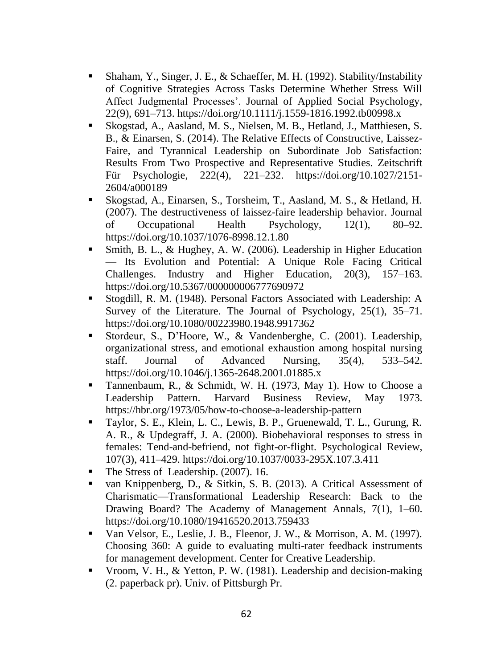- Shaham, Y., Singer, J. E., & Schaeffer, M. H. (1992). Stability/Instability of Cognitive Strategies Across Tasks Determine Whether Stress Will Affect Judgmental Processes'. Journal of Applied Social Psychology, 22(9), 691–713. https://doi.org/10.1111/j.1559-1816.1992.tb00998.x
- Skogstad, A., Aasland, M. S., Nielsen, M. B., Hetland, J., Matthiesen, S. B., & Einarsen, S. (2014). The Relative Effects of Constructive, Laissez-Faire, and Tyrannical Leadership on Subordinate Job Satisfaction: Results From Two Prospective and Representative Studies. Zeitschrift Für Psychologie, 222(4), 221–232. https://doi.org/10.1027/2151- 2604/a000189
- Skogstad, A., Einarsen, S., Torsheim, T., Aasland, M. S., & Hetland, H. (2007). The destructiveness of laissez-faire leadership behavior. Journal of Occupational Health Psychology, 12(1), 80–92. https://doi.org/10.1037/1076-8998.12.1.80
- Smith, B. L., & Hughey, A. W. (2006). Leadership in Higher Education — Its Evolution and Potential: A Unique Role Facing Critical Challenges. Industry and Higher Education, 20(3), 157–163. https://doi.org/10.5367/000000006777690972
- Stogdill, R. M. (1948). Personal Factors Associated with Leadership: A Survey of the Literature. The Journal of Psychology, 25(1), 35–71. https://doi.org/10.1080/00223980.1948.9917362
- Stordeur, S., D'Hoore, W., & Vandenberghe, C. (2001). Leadership, organizational stress, and emotional exhaustion among hospital nursing staff. Journal of Advanced Nursing, 35(4), 533–542. https://doi.org/10.1046/j.1365-2648.2001.01885.x
- Tannenbaum, R., & Schmidt, W. H. (1973, May 1). How to Choose a Leadership Pattern. Harvard Business Review, May 1973. https://hbr.org/1973/05/how-to-choose-a-leadership-pattern
- Taylor, S. E., Klein, L. C., Lewis, B. P., Gruenewald, T. L., Gurung, R. A. R., & Updegraff, J. A. (2000). Biobehavioral responses to stress in females: Tend-and-befriend, not fight-or-flight. Psychological Review, 107(3), 411–429. https://doi.org/10.1037/0033-295X.107.3.411
- The Stress of Leadership. (2007). 16.
- van Knippenberg, D., & Sitkin, S. B. (2013). A Critical Assessment of Charismatic—Transformational Leadership Research: Back to the Drawing Board? The Academy of Management Annals, 7(1), 1–60. https://doi.org/10.1080/19416520.2013.759433
- Van Velsor, E., Leslie, J. B., Fleenor, J. W., & Morrison, A. M. (1997). Choosing 360: A guide to evaluating multi-rater feedback instruments for management development. Center for Creative Leadership.
- Vroom, V. H., & Yetton, P. W. (1981). Leadership and decision-making (2. paperback pr). Univ. of Pittsburgh Pr.